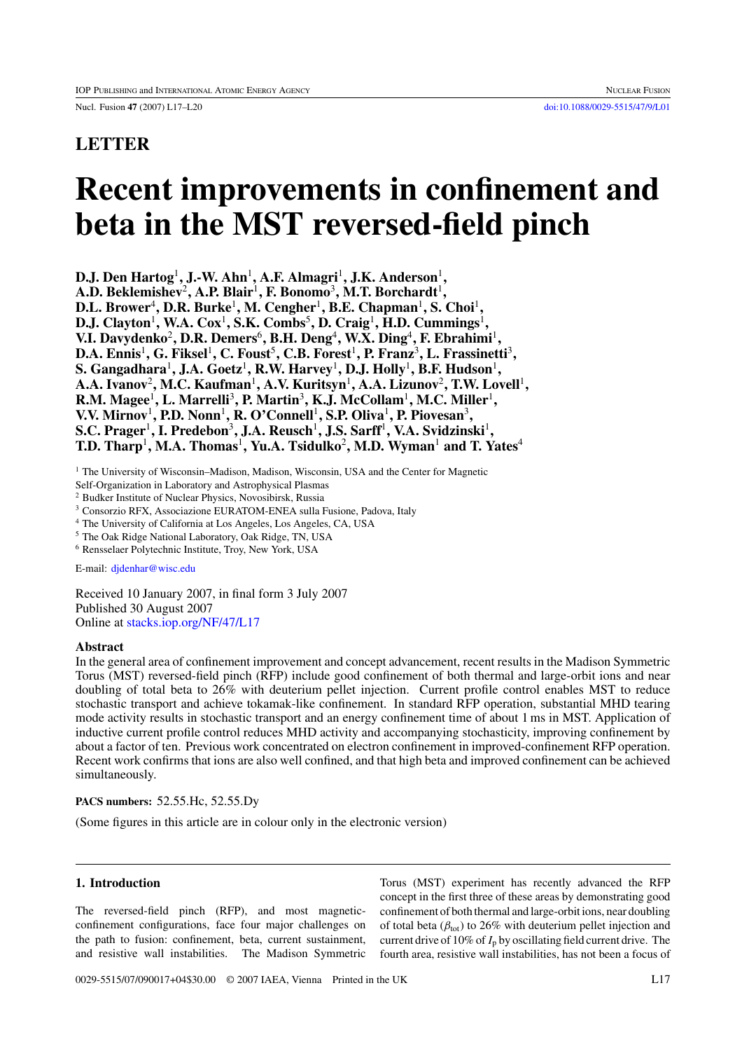# **LETTER**

# **Recent improvements in confinement and beta in the MST reversed-field pinch**

**D.J. Den Hartog<sup>1</sup>, J.-W. Ahn<sup>1</sup>, A.F. Almagri<sup>1</sup>, J.K. Anderson<sup>1</sup>,** 

**A.D. Beklemishev**<sup>2</sup>**, A.P. Blair**<sup>1</sup>**, F. Bonomo**<sup>3</sup>**, M.T. Borchardt**<sup>1</sup>**,**

**D.L. Brower**<sup>4</sup>**, D.R. Burke**<sup>1</sup>**, M. Cengher**<sup>1</sup>**, B.E. Chapman**<sup>1</sup>**, S. Choi**<sup>1</sup>**,**

**D.J. Clayton**<sup>1</sup>**, W.A. Cox**<sup>1</sup>**, S.K. Combs**<sup>5</sup>**, D. Craig**<sup>1</sup>**, H.D. Cummings**<sup>1</sup>**,**

**V.I. Davydenko**<sup>2</sup>**, D.R. Demers**<sup>6</sup>**, B.H. Deng**<sup>4</sup>**, W.X. Ding**<sup>4</sup>**, F. Ebrahimi**<sup>1</sup>**,**

**D.A. Ennis**<sup>1</sup>**, G. Fiksel**<sup>1</sup>**, C. Foust**<sup>5</sup>**, C.B. Forest**<sup>1</sup>**, P. Franz**<sup>3</sup>**, L. Frassinetti**<sup>3</sup>**,**

**S. Gangadhara**<sup>1</sup>**, J.A. Goetz**<sup>1</sup>**, R.W. Harvey**<sup>1</sup>**, D.J. Holly**<sup>1</sup>**, B.F. Hudson**<sup>1</sup>**,**

**A.A. Ivanov**<sup>2</sup>**, M.C. Kaufman**<sup>1</sup>**, A.V. Kuritsyn**<sup>1</sup>**, A.A. Lizunov**<sup>2</sup>**, T.W. Lovell**<sup>1</sup>**,**

**R.M. Magee**<sup>1</sup>**, L. Marrelli**<sup>3</sup>**, P. Martin**<sup>3</sup>**, K.J. McCollam**<sup>1</sup>**, M.C. Miller**<sup>1</sup>**,**

**V.V. Mirnov**<sup>1</sup>**, P.D. Nonn**<sup>1</sup>**, R. O'Connell**<sup>1</sup>**, S.P. Oliva**<sup>1</sup>**, P. Piovesan**<sup>3</sup>**,**

**S.C. Prager**<sup>1</sup>**, I. Predebon**<sup>3</sup>**, J.A. Reusch**<sup>1</sup>**, J.S. Sarff**<sup>1</sup>**, V.A. Svidzinski**<sup>1</sup>**,**

**T.D. Tharp<sup>1</sup>, M.A. Thomas<sup>1</sup>, Yu.A. Tsidulko<sup>2</sup>, M.D. Wyman<sup>1</sup> and T. Yates<sup>4</sup>** 

<sup>1</sup> The University of Wisconsin-Madison, Madison, Wisconsin, USA and the Center for Magnetic

Self-Organization in Laboratory and Astrophysical Plasmas

<sup>2</sup> Budker Institute of Nuclear Physics, Novosibirsk, Russia

<sup>3</sup> Consorzio RFX, Associazione EURATOM-ENEA sulla Fusione, Padova, Italy

<sup>4</sup> The University of California at Los Angeles, Los Angeles, CA, USA

<sup>5</sup> The Oak Ridge National Laboratory, Oak Ridge, TN, USA

<sup>6</sup> Rensselaer Polytechnic Institute, Troy, New York, USA

E-mail: [djdenhar@wisc.edu](mailto: djdenhar@wisc.edu)

Received 10 January 2007, in final form 3 July 2007 Published 30 August 2007 Online at [stacks.iop.org/NF/47/L17](http://stacks.iop.org/nf/47/L17)

## **Abstract**

In the general area of confinement improvement and concept advancement, recent results in the Madison Symmetric Torus (MST) reversed-field pinch (RFP) include good confinement of both thermal and large-orbit ions and near doubling of total beta to 26% with deuterium pellet injection. Current profile control enables MST to reduce stochastic transport and achieve tokamak-like confinement. In standard RFP operation, substantial MHD tearing mode activity results in stochastic transport and an energy confinement time of about 1 ms in MST. Application of inductive current profile control reduces MHD activity and accompanying stochasticity, improving confinement by about a factor of ten. Previous work concentrated on electron confinement in improved-confinement RFP operation. Recent work confirms that ions are also well confined, and that high beta and improved confinement can be achieved simultaneously.

**PACS numbers:** 52.55.Hc, 52.55.Dy

(Some figures in this article are in colour only in the electronic version)

# **1. Introduction**

The reversed-field pinch (RFP), and most magneticconfinement configurations, face four major challenges on the path to fusion: confinement, beta, current sustainment, and resistive wall instabilities. The Madison Symmetric

Torus (MST) experiment has recently advanced the RFP concept in the first three of these areas by demonstrating good confinement of both thermal and large-orbit ions, near doubling of total beta ( $\beta_{\text{tot}}$ ) to 26% with deuterium pellet injection and current drive of 10% of  $I_p$  by oscillating field current drive. The fourth area, resistive wall instabilities, has not been a focus of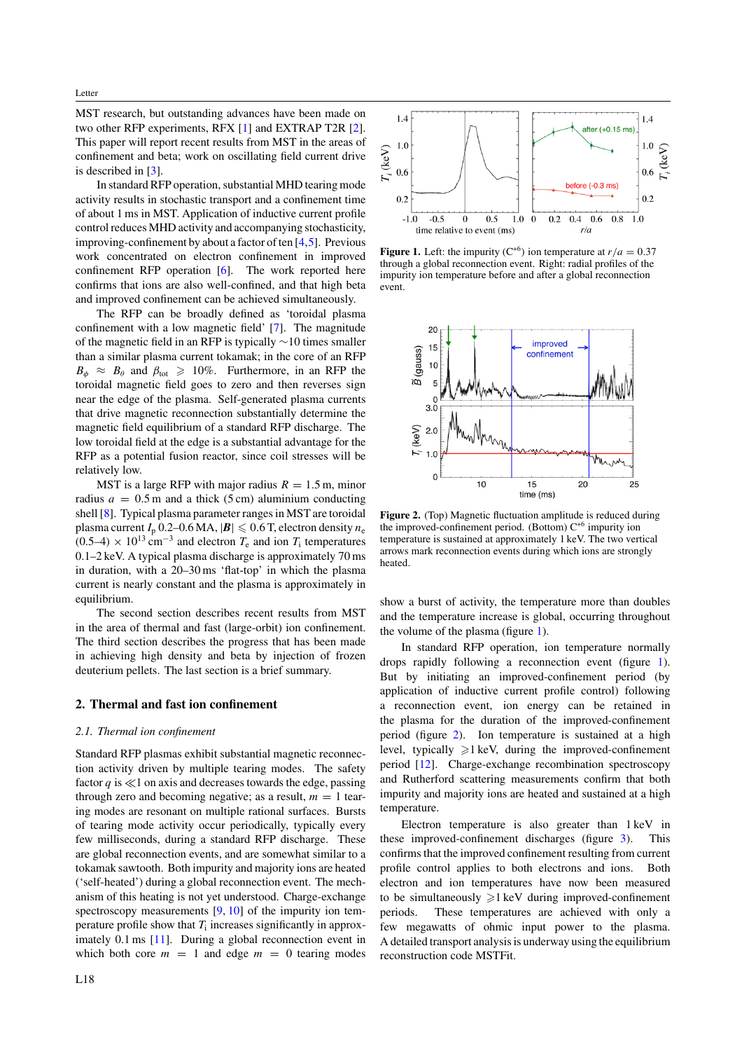Letter

MST research, but outstanding advances have been made on two other RFP experiments, RFX [\[1\]](#page-3-0) and EXTRAP T2R [\[2\]](#page-3-0). This paper will report recent results from MST in the areas of confinement and beta; work on oscillating field current drive is described in [\[3\]](#page-3-0).

In standard RFP operation, substantial MHD tearing mode activity results in stochastic transport and a confinement time of about 1 ms in MST. Application of inductive current profile control reduces MHD activity and accompanying stochasticity, improving-confinement by about a factor of ten [\[4,5\]](#page-3-0). Previous work concentrated on electron confinement in improved confinement RFP operation [\[6\]](#page-3-0). The work reported here confirms that ions are also well-confined, and that high beta and improved confinement can be achieved simultaneously.

The RFP can be broadly defined as 'toroidal plasma confinement with a low magnetic field' [\[7\]](#page-3-0). The magnitude of the magnetic field in an RFP is typically ∼10 times smaller than a similar plasma current tokamak; in the core of an RFP  $B_{\phi} \approx B_{\theta}$  and  $\beta_{\text{tot}} \geq 10\%$ . Furthermore, in an RFP the toroidal magnetic field goes to zero and then reverses sign near the edge of the plasma. Self-generated plasma currents that drive magnetic reconnection substantially determine the magnetic field equilibrium of a standard RFP discharge. The low toroidal field at the edge is a substantial advantage for the RFP as a potential fusion reactor, since coil stresses will be relatively low.

MST is a large RFP with major radius  $R = 1.5$  m, minor radius  $a = 0.5$  m and a thick (5 cm) aluminium conducting shell [\[8\]](#page-3-0). Typical plasma parameter ranges in MST are toroidal plasma current  $I_p$  0.2–0.6 MA,  $|\boldsymbol{B}| \leqslant 0.6$  T, electron density  $n_e$  $(0.5-4) \times 10^{13}$  cm<sup>-3</sup> and electron  $T_e$  and ion  $T_i$  temperatures 0.1–2 keV. A typical plasma discharge is approximately 70 ms in duration, with a 20–30 ms 'flat-top' in which the plasma current is nearly constant and the plasma is approximately in equilibrium.

The second section describes recent results from MST in the area of thermal and fast (large-orbit) ion confinement. The third section describes the progress that has been made in achieving high density and beta by injection of frozen deuterium pellets. The last section is a brief summary.

#### **2. Thermal and fast ion confinement**

#### *2.1. Thermal ion confinement*

Standard RFP plasmas exhibit substantial magnetic reconnection activity driven by multiple tearing modes. The safety factor  $q$  is  $\ll$ 1 on axis and decreases towards the edge, passing through zero and becoming negative; as a result,  $m = 1$  tearing modes are resonant on multiple rational surfaces. Bursts of tearing mode activity occur periodically, typically every few milliseconds, during a standard RFP discharge. These are global reconnection events, and are somewhat similar to a tokamak sawtooth. Both impurity and majority ions are heated ('self-heated') during a global reconnection event. The mechanism of this heating is not yet understood. Charge-exchange spectroscopy measurements  $[9, 10]$  $[9, 10]$  $[9, 10]$  of the impurity ion temperature profile show that *T*<sup>i</sup> increases significantly in approximately 0.1 ms [\[11\]](#page-3-0). During a global reconnection event in which both core  $m = 1$  and edge  $m = 0$  tearing modes



**Figure 1.** Left: the impurity ( $C^{+6}$ ) ion temperature at  $r/a = 0.37$ through a global reconnection event. Right: radial profiles of the impurity ion temperature before and after a global reconnection event.



**Figure 2.** (Top) Magnetic fluctuation amplitude is reduced during the improved-confinement period. (Bottom) C+6 impurity ion temperature is sustained at approximately 1 keV. The two vertical arrows mark reconnection events during which ions are strongly heated.

show a burst of activity, the temperature more than doubles and the temperature increase is global, occurring throughout the volume of the plasma (figure 1).

In standard RFP operation, ion temperature normally drops rapidly following a reconnection event (figure 1). But by initiating an improved-confinement period (by application of inductive current profile control) following a reconnection event, ion energy can be retained in the plasma for the duration of the improved-confinement period (figure 2). Ion temperature is sustained at a high level, typically  $\geq 1$  keV, during the improved-confinement period [\[12\]](#page-3-0). Charge-exchange recombination spectroscopy and Rutherford scattering measurements confirm that both impurity and majority ions are heated and sustained at a high temperature.

Electron temperature is also greater than 1 keV in these improved-confinement discharges (figure [3\)](#page-2-0). This confirms that the improved confinement resulting from current profile control applies to both electrons and ions. Both electron and ion temperatures have now been measured to be simultaneously  $\geq 1$  keV during improved-confinement periods. These temperatures are achieved with only a few megawatts of ohmic input power to the plasma. A detailed transport analysis is underway using the equilibrium reconstruction code MSTFit.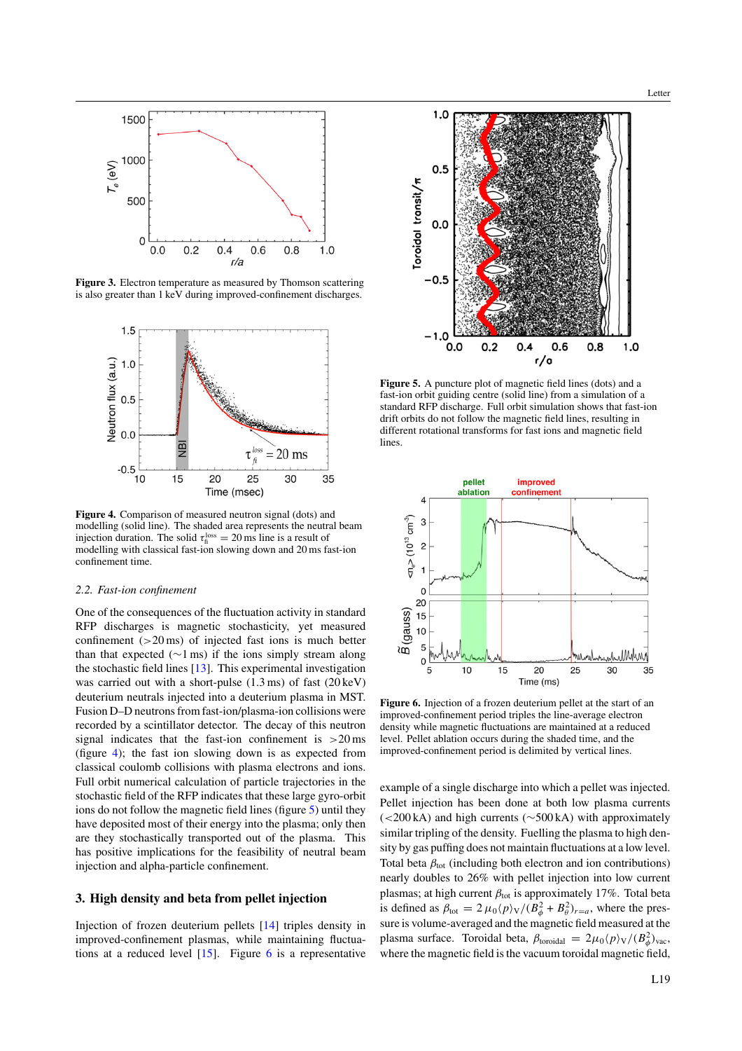<span id="page-2-0"></span>

**Figure 3.** Electron temperature as measured by Thomson scattering is also greater than 1 keV during improved-confinement discharges.



**Figure 4.** Comparison of measured neutron signal (dots) and modelling (solid line). The shaded area represents the neutral beam injection duration. The solid  $\tau_{\text{fi}}^{\text{loss}} = 20 \text{ ms}$  line is a result of modelling with classical fast-ion slowing down and 20 ms fast-ion confinement time.

#### *2.2. Fast-ion confinement*

One of the consequences of the fluctuation activity in standard RFP discharges is magnetic stochasticity, yet measured confinement (*>*20 ms) of injected fast ions is much better than that expected ( $\sim$ 1 ms) if the ions simply stream along the stochastic field lines [\[13\]](#page-3-0). This experimental investigation was carried out with a short-pulse (1.3 ms) of fast (20 keV) deuterium neutrals injected into a deuterium plasma in MST. Fusion D–D neutrons from fast-ion/plasma-ion collisions were recorded by a scintillator detector. The decay of this neutron signal indicates that the fast-ion confinement is *>*20 ms (figure 4); the fast ion slowing down is as expected from classical coulomb collisions with plasma electrons and ions. Full orbit numerical calculation of particle trajectories in the stochastic field of the RFP indicates that these large gyro-orbit ions do not follow the magnetic field lines (figure 5) until they have deposited most of their energy into the plasma; only then are they stochastically transported out of the plasma. This has positive implications for the feasibility of neutral beam injection and alpha-particle confinement.

#### **3. High density and beta from pellet injection**

Injection of frozen deuterium pellets [\[14\]](#page-3-0) triples density in improved-confinement plasmas, while maintaining fluctuations at a reduced level [\[15\]](#page-3-0). Figure 6 is a representative



**Figure 5.** A puncture plot of magnetic field lines (dots) and a fast-ion orbit guiding centre (solid line) from a simulation of a standard RFP discharge. Full orbit simulation shows that fast-ion drift orbits do not follow the magnetic field lines, resulting in different rotational transforms for fast ions and magnetic field **lines** 



**Figure 6.** Injection of a frozen deuterium pellet at the start of an improved-confinement period triples the line-average electron density while magnetic fluctuations are maintained at a reduced level. Pellet ablation occurs during the shaded time, and the improved-confinement period is delimited by vertical lines.

example of a single discharge into which a pellet was injected. Pellet injection has been done at both low plasma currents (*<*200 kA) and high currents (∼500 kA) with approximately similar tripling of the density. Fuelling the plasma to high density by gas puffing does not maintain fluctuations at a low level. Total beta  $\beta_{\text{tot}}$  (including both electron and ion contributions) nearly doubles to 26% with pellet injection into low current plasmas; at high current  $β$ <sub>tot</sub> is approximately 17%. Total beta is defined as  $\beta_{\text{tot}} = 2 \mu_0 \langle p \rangle \sqrt{(B_\phi^2 + B_\theta^2)_{r=a}}$ , where the pressure is volume-averaged and the magnetic field measured at the plasma surface. Toroidal beta,  $\beta_{\text{toroidal}} = 2\mu_0 \langle p \rangle \sqrt{\langle B_\phi^2 \rangle_{\text{vac}}}$ , where the magnetic field is the vacuum toroidal magnetic field,